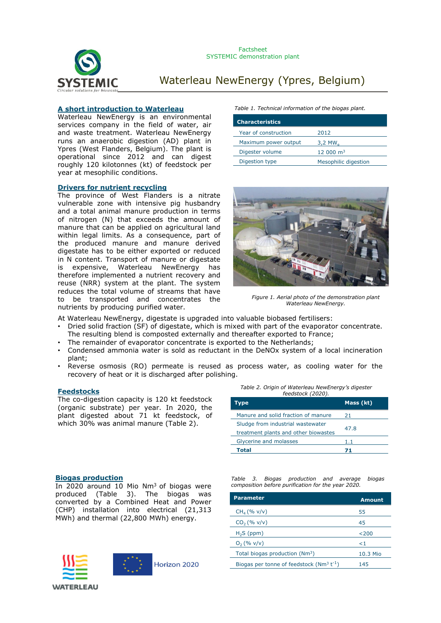

# **A short introduction to Waterleau**

Waterleau NewEnergy is an environmental services company in the field of water, air and waste treatment. Waterleau NewEnergy runs an anaerobic digestion (AD) plant in Ypres (West Flanders, Belgium). The plant is operational since 2012 and can digest roughly 120 kilotonnes (kt) of feedstock per year at mesophilic conditions.

### **Drivers for nutrient recycling**

The province of West Flanders is a nitrate vulnerable zone with intensive pig husbandry and a total animal manure production in terms of nitrogen (N) that exceeds the amount of manure that can be applied on agricultural land within legal limits. As a consequence, part of the produced manure and manure derived digestate has to be either exported or reduced in N content. Transport of manure or digestate is expensive, Waterleau NewEnergy has therefore implemented a nutrient recovery and reuse (NRR) system at the plant. The system reduces the total volume of streams that have to be transported and concentrates the nutrients by producing purified water.

#### *Table 1. Technical information of the biogas plant.*

| <b>Characteristics</b> |                       |
|------------------------|-----------------------|
| Year of construction   | 2012                  |
| Maximum power output   | $3,2$ MW <sub>o</sub> |
| Digester volume        | $12,000 \text{ m}^3$  |
| Digestion type         | Mesophilic digestion  |



*Figure 1. Aerial photo of the demonstration plant Waterleau NewEnergy.*

At Waterleau NewEnergy, digestate is upgraded into valuable biobased fertilisers:

- Dried solid fraction (SF) of digestate, which is mixed with part of the evaporator concentrate. The resulting blend is composted externally and thereafter exported to France;
- The remainder of evaporator concentrate is exported to the Netherlands;
- Condensed ammonia water is sold as reductant in the DeNOx system of a local incineration plant;
- Reverse osmosis (RO) permeate is reused as process water, as cooling water for the recovery of heat or it is discharged after polishing.

The co-digestion capacity is 120 kt feedstock (organic substrate) per year. In 2020, the plant digested about 71 kt feedstock, of which 30% was animal manure (Table 2).

| <b>Feedstocks</b> | Table 2. Origin of Waterleau NewEnergy's digester |
|-------------------|---------------------------------------------------|
|                   | feedstock (2020).                                 |

| Type                                 | Mass (kt) |  |
|--------------------------------------|-----------|--|
| Manure and solid fraction of manure  | 21.       |  |
| Sludge from industrial wastewater    | 47.8      |  |
| treatment plants and other biowastes |           |  |
| Glycerine and molasses               | $1.1\,$   |  |
| Total                                | 71        |  |

### **Biogas production**

In 2020 around 10 Mio Nm<sup>3</sup> of biogas were produced (Table 3). The biogas was converted by a Combined Heat and Power (CHP) installation into electrical (21,313 MWh) and thermal (22,800 MWh) energy.





Horizon 2020

*Table 3. Biogas production and average biogas composition before purification for the year 2020.*

| <b>Parameter</b>                                         | Amount   |
|----------------------------------------------------------|----------|
| $CH_4 (% v/v)$                                           | 55       |
| $CO2(\% v/v)$                                            | 45       |
| $H2S$ (ppm)                                              | 200      |
| $O_2$ (% v/v)                                            | ا>       |
| Total biogas production (Nm <sup>3</sup> )               | 10.3 Mio |
| Biogas per tonne of feedstock ( $Nm^3$ t <sup>-1</sup> ) | 145      |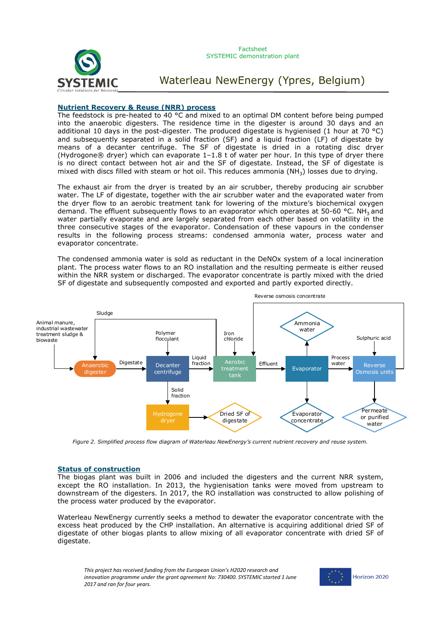



### **Nutrient Recovery & Reuse (NRR) process**

The feedstock is pre-heated to 40 °C and mixed to an optimal DM content before being pumped into the anaerobic digesters. The residence time in the digester is around 30 days and an additional 10 days in the post-digester. The produced digestate is hygienised (1 hour at 70 °C) and subsequently separated in a solid fraction (SF) and a liquid fraction (LF) of digestate by means of a decanter centrifuge. The SF of digestate is dried in a rotating disc dryer (Hydrogone® dryer) which can evaporate 1–1.8 t of water per hour. In this type of dryer there is no direct contact between hot air and the SF of digestate. Instead, the SF of digestate is mixed with discs filled with steam or hot oil. This reduces ammonia (NH<sub>3</sub>) losses due to drying.

The exhaust air from the dryer is treated by an air scrubber, thereby producing air scrubber water. The LF of digestate, together with the air scrubber water and the evaporated water from the dryer flow to an aerobic treatment tank for lowering of the mixture's biochemical oxygen demand. The effluent subsequently flows to an evaporator which operates at 50-60 °C. NH<sub>3</sub> and water partially evaporate and are largely separated from each other based on volatility in the three consecutive stages of the evaporator. Condensation of these vapours in the condenser results in the following process streams: condensed ammonia water, process water and evaporator concentrate.

The condensed ammonia water is sold as reductant in the DeNOx system of a local incineration plant. The process water flows to an RO installation and the resulting permeate is either reused within the NRR system or discharged. The evaporator concentrate is partly mixed with the dried SF of digestate and subsequently composted and exported and partly exported directly.



*Figure 2. Simplified process flow diagram of Waterleau NewEnergy's current nutrient recovery and reuse system.*

# **Status of construction**

The biogas plant was built in 2006 and included the digesters and the current NRR system, except the RO installation. In 2013, the hygienisation tanks were moved from upstream to downstream of the digesters. In 2017, the RO installation was constructed to allow polishing of the process water produced by the evaporator.

Waterleau NewEnergy currently seeks a method to dewater the evaporator concentrate with the excess heat produced by the CHP installation. An alternative is acquiring additional dried SF of digestate of other biogas plants to allow mixing of all evaporator concentrate with dried SF of digestate.

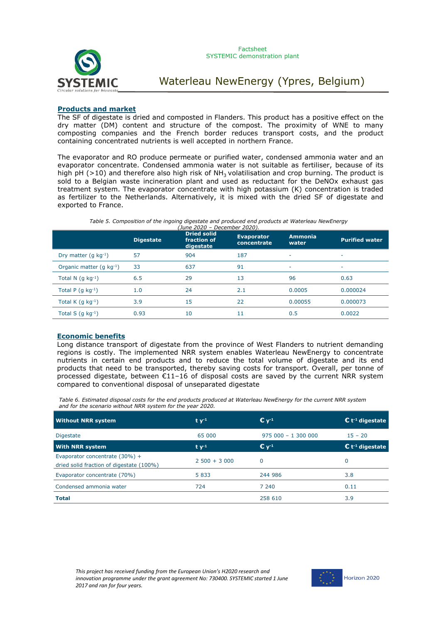

### **Products and market**

The SF of digestate is dried and composted in Flanders. This product has a positive effect on the dry matter (DM) content and structure of the compost. The proximity of WNE to many composting companies and the French border reduces transport costs, and the product containing concentrated nutrients is well accepted in northern France.

The evaporator and RO produce permeate or purified water, condensed ammonia water and an evaporator concentrate. Condensed ammonia water is not suitable as fertiliser, because of its high pH ( $>10$ ) and therefore also high risk of NH<sub>3</sub> volatilisation and crop burning. The product is sold to a Belgian waste incineration plant and used as reductant for the DeNOx exhaust gas treatment system. The evaporator concentrate with high potassium (K) concentration is traded as fertilizer to the Netherlands. Alternatively, it is mixed with the dried SF of digestate and exported to France.

#### *Table 5. Composition of the ingoing digestate and produced end products at Waterleau NewEnergy (June 2020 – December 2020).*

|                               | <b>Digestate</b> | <b>Dried solid</b><br>fraction of<br>digestate | <b>Evaporator</b><br>concentrate | <b>Ammonia</b><br>water | <b>Purified water</b> |
|-------------------------------|------------------|------------------------------------------------|----------------------------------|-------------------------|-----------------------|
| Dry matter $(q kq^{-1})$      | 57               | 904                                            | 187                              | ٠                       |                       |
| Organic matter $(q kq^{-1})$  | 33               | 637                                            | 91                               | ٠                       | ۰                     |
| Total N $(q kq^{-1})$         | 6.5              | 29                                             | 13                               | 96                      | 0.63                  |
| Total P $(g kg-1)$            | 1.0              | 24                                             | 2.1                              | 0.0005                  | 0.000024              |
| Total K $(q \text{ kg}^{-1})$ | 3.9              | 15                                             | 22                               | 0.00055                 | 0.000073              |
| Total S $(q kq^{-1})$         | 0.93             | 10                                             | 11                               | 0.5                     | 0.0022                |

### **Economic benefits**

Long distance transport of digestate from the province of West Flanders to nutrient demanding regions is costly. The implemented NRR system enables Waterleau NewEnergy to concentrate nutrients in certain end products and to reduce the total volume of digestate and its end products that need to be transported, thereby saving costs for transport. Overall, per tonne of processed digestate, between €11–16 of disposal costs are saved by the current NRR system compared to conventional disposal of unseparated digestate

*Table 6. Estimated disposal costs for the end products produced at Waterleau NewEnergy for the current NRR system and for the scenario without NRR system for the year 2020.* 

| <b>Without NRR system</b>                                                    | $t v-1$         | $\mathbf{C}$ $\mathbf{V}^{-1}$          | $\mathbf{\mathsf{C}}$ t <sup>-1</sup> digestate |
|------------------------------------------------------------------------------|-----------------|-----------------------------------------|-------------------------------------------------|
| <b>Digestate</b>                                                             | 65 000          | $975000 - 1300000$                      | $15 - 20$                                       |
| <b>With NRR system</b>                                                       | $t v-1$         | $\mathbb{C}$ $\mathsf{v}$ <sup>-1</sup> | $\mathbf{C}$ t <sup>1</sup> digestate           |
| Evaporator concentrate $(30%) +$<br>dried solid fraction of digestate (100%) | $2,500 + 3,000$ | $\Omega$                                | 0                                               |
| Evaporator concentrate (70%)                                                 | 5 8 3 3         | 244 986                                 | 3.8                                             |
| Condensed ammonia water                                                      | 724             | 7 240                                   | 0.11                                            |
| <b>Total</b>                                                                 |                 | 258 610                                 | 3.9                                             |

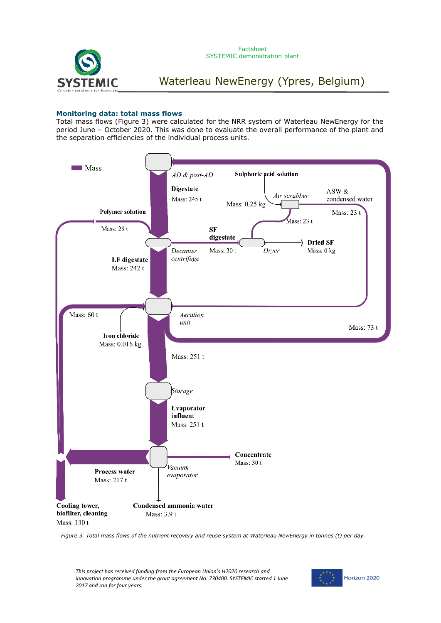

### **Monitoring data: total mass flows**

Total mass flows (Figure 3) were calculated for the NRR system of Waterleau NewEnergy for the period June – October 2020. This was done to evaluate the overall performance of the plant and the separation efficiencies of the individual process units.



*Figure 3. Total mass flows of the nutrient recovery and reuse system at Waterleau NewEnergy in tonnes (t) per day.*

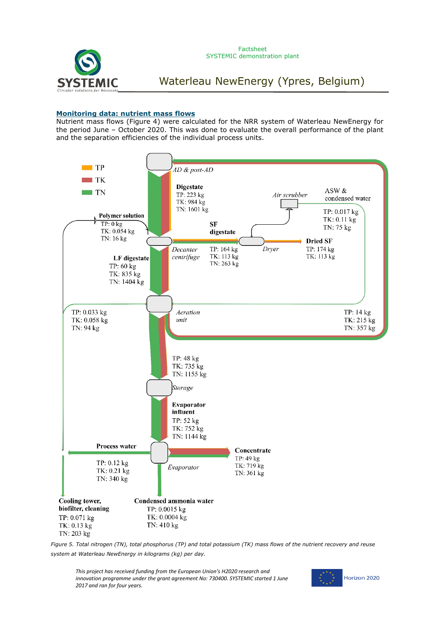

# **Monitoring data: nutrient mass flows**

Nutrient mass flows (Figure 4) were calculated for the NRR system of Waterleau NewEnergy for the period June – October 2020. This was done to evaluate the overall performance of the plant and the separation efficiencies of the individual process units.



*Figure 5. Total nitrogen (TN), total phosphorus (TP) and total potassium (TK) mass flows of the nutrient recovery and reuse system at Waterleau NewEnergy in kilograms (kg) per day.*